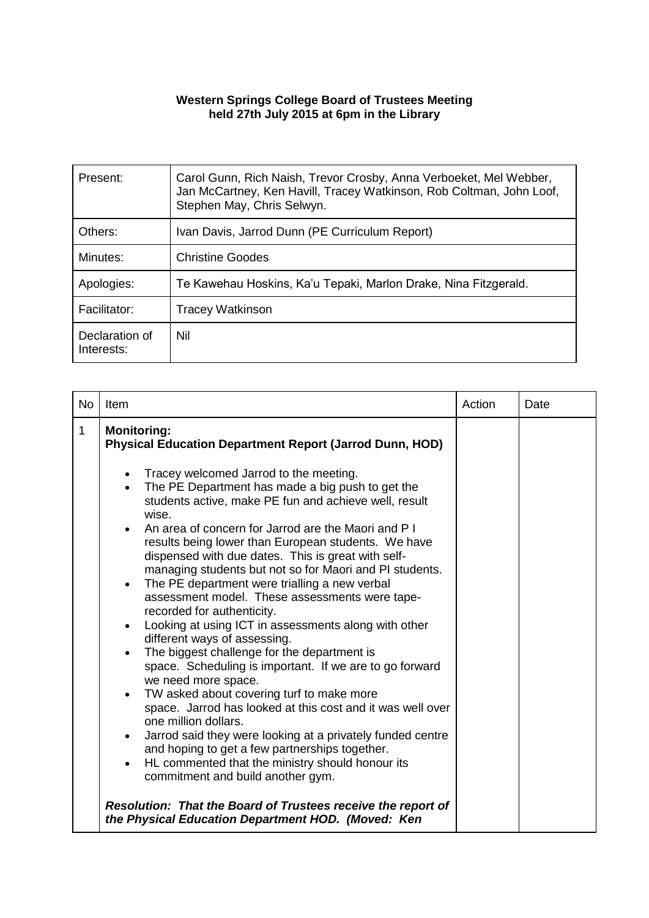## **Western Springs College Board of Trustees Meeting held 27th July 2015 at 6pm in the Library**

| Present:                     | Carol Gunn, Rich Naish, Trevor Crosby, Anna Verboeket, Mel Webber,<br>Jan McCartney, Ken Havill, Tracey Watkinson, Rob Coltman, John Loof,<br>Stephen May, Chris Selwyn. |
|------------------------------|--------------------------------------------------------------------------------------------------------------------------------------------------------------------------|
| Others:                      | Ivan Davis, Jarrod Dunn (PE Curriculum Report)                                                                                                                           |
| Minutes:                     | Christine Goodes                                                                                                                                                         |
| Apologies:                   | Te Kawehau Hoskins, Ka'u Tepaki, Marlon Drake, Nina Fitzgerald.                                                                                                          |
| Facilitator:                 | <b>Tracey Watkinson</b>                                                                                                                                                  |
| Declaration of<br>Interests: | Nil                                                                                                                                                                      |

| <b>No</b> | Item                                                                                                                                                                                                                                                                                                                                                                                                                                                                                                                                                                                                                                                                                                                                                                                                                                                                                                                                                                                                                                                                                                           | Action | Date |
|-----------|----------------------------------------------------------------------------------------------------------------------------------------------------------------------------------------------------------------------------------------------------------------------------------------------------------------------------------------------------------------------------------------------------------------------------------------------------------------------------------------------------------------------------------------------------------------------------------------------------------------------------------------------------------------------------------------------------------------------------------------------------------------------------------------------------------------------------------------------------------------------------------------------------------------------------------------------------------------------------------------------------------------------------------------------------------------------------------------------------------------|--------|------|
| 1         | <b>Monitoring:</b><br><b>Physical Education Department Report (Jarrod Dunn, HOD)</b>                                                                                                                                                                                                                                                                                                                                                                                                                                                                                                                                                                                                                                                                                                                                                                                                                                                                                                                                                                                                                           |        |      |
|           | Tracey welcomed Jarrod to the meeting.<br>The PE Department has made a big push to get the<br>$\bullet$<br>students active, make PE fun and achieve well, result<br>wise.<br>An area of concern for Jarrod are the Maori and P I<br>results being lower than European students. We have<br>dispensed with due dates. This is great with self-<br>managing students but not so for Maori and PI students.<br>The PE department were trialling a new verbal<br>assessment model. These assessments were tape-<br>recorded for authenticity.<br>Looking at using ICT in assessments along with other<br>different ways of assessing.<br>The biggest challenge for the department is<br>space. Scheduling is important. If we are to go forward<br>we need more space.<br>TW asked about covering turf to make more<br>space. Jarrod has looked at this cost and it was well over<br>one million dollars.<br>Jarrod said they were looking at a privately funded centre<br>and hoping to get a few partnerships together.<br>HL commented that the ministry should honour its<br>commitment and build another gym. |        |      |
|           | Resolution: That the Board of Trustees receive the report of<br>the Physical Education Department HOD. (Moved: Ken                                                                                                                                                                                                                                                                                                                                                                                                                                                                                                                                                                                                                                                                                                                                                                                                                                                                                                                                                                                             |        |      |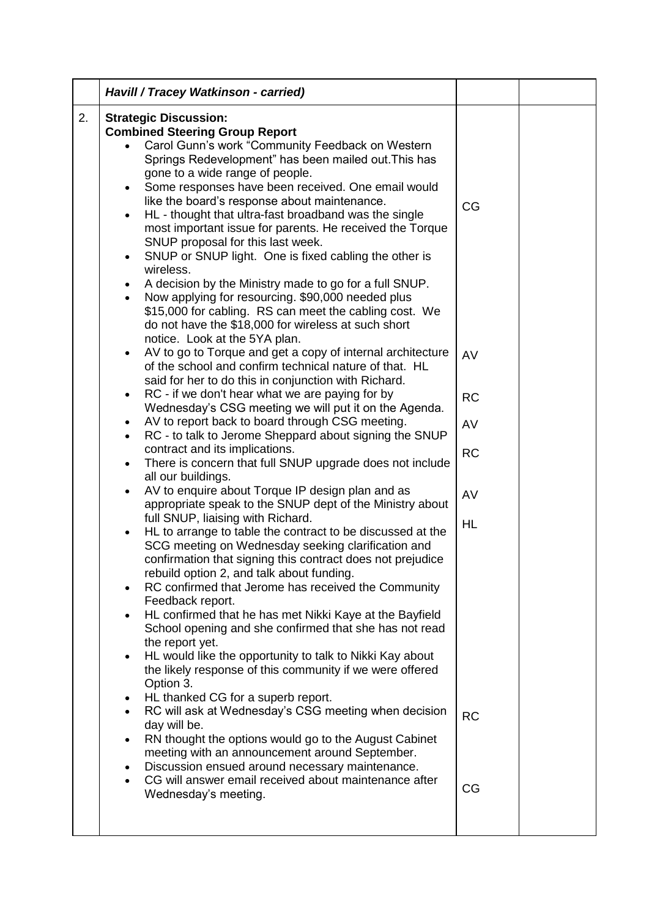|    | Havill / Tracey Watkinson - carried)                                                                                                                                                                                                                                                                                                                                                                                                                                                                                                                                                                                                                                                                                                                                                                                                   |                 |  |
|----|----------------------------------------------------------------------------------------------------------------------------------------------------------------------------------------------------------------------------------------------------------------------------------------------------------------------------------------------------------------------------------------------------------------------------------------------------------------------------------------------------------------------------------------------------------------------------------------------------------------------------------------------------------------------------------------------------------------------------------------------------------------------------------------------------------------------------------------|-----------------|--|
| 2. | <b>Strategic Discussion:</b><br><b>Combined Steering Group Report</b><br>Carol Gunn's work "Community Feedback on Western<br>Springs Redevelopment" has been mailed out. This has<br>gone to a wide range of people.<br>Some responses have been received. One email would<br>$\bullet$<br>like the board's response about maintenance.<br>HL - thought that ultra-fast broadband was the single<br>$\bullet$<br>most important issue for parents. He received the Torque<br>SNUP proposal for this last week.<br>SNUP or SNUP light. One is fixed cabling the other is<br>$\bullet$<br>wireless.<br>A decision by the Ministry made to go for a full SNUP.<br>٠<br>Now applying for resourcing. \$90,000 needed plus<br>\$15,000 for cabling. RS can meet the cabling cost. We<br>do not have the \$18,000 for wireless at such short | CG              |  |
|    | notice. Look at the 5YA plan.<br>AV to go to Torque and get a copy of internal architecture<br>$\bullet$<br>of the school and confirm technical nature of that. HL<br>said for her to do this in conjunction with Richard.                                                                                                                                                                                                                                                                                                                                                                                                                                                                                                                                                                                                             | AV              |  |
|    | RC - if we don't hear what we are paying for by<br>$\bullet$<br>Wednesday's CSG meeting we will put it on the Agenda.                                                                                                                                                                                                                                                                                                                                                                                                                                                                                                                                                                                                                                                                                                                  | <b>RC</b>       |  |
|    | AV to report back to board through CSG meeting.<br>$\bullet$<br>RC - to talk to Jerome Sheppard about signing the SNUP<br>$\bullet$                                                                                                                                                                                                                                                                                                                                                                                                                                                                                                                                                                                                                                                                                                    | AV              |  |
|    | contract and its implications.<br>There is concern that full SNUP upgrade does not include                                                                                                                                                                                                                                                                                                                                                                                                                                                                                                                                                                                                                                                                                                                                             | <b>RC</b>       |  |
|    | $\bullet$<br>all our buildings.                                                                                                                                                                                                                                                                                                                                                                                                                                                                                                                                                                                                                                                                                                                                                                                                        |                 |  |
|    | AV to enquire about Torque IP design plan and as<br>$\bullet$<br>appropriate speak to the SNUP dept of the Ministry about                                                                                                                                                                                                                                                                                                                                                                                                                                                                                                                                                                                                                                                                                                              | AV              |  |
|    | full SNUP, liaising with Richard.<br>HL to arrange to table the contract to be discussed at the<br>SCG meeting on Wednesday seeking clarification and<br>confirmation that signing this contract does not prejudice<br>rebuild option 2, and talk about funding.<br>RC confirmed that Jerome has received the Community<br>Feedback report.<br>HL confirmed that he has met Nikki Kaye at the Bayfield<br>$\bullet$<br>School opening and she confirmed that she has not read<br>the report yet.<br>HL would like the opportunity to talk to Nikki Kay about<br>the likely response of this community if we were offered                                                                                                                                                                                                               | <b>HL</b>       |  |
|    | Option 3.<br>HL thanked CG for a superb report.<br>RC will ask at Wednesday's CSG meeting when decision<br>day will be.<br>RN thought the options would go to the August Cabinet<br>$\bullet$<br>meeting with an announcement around September.<br>Discussion ensued around necessary maintenance.<br>$\bullet$<br>CG will answer email received about maintenance after<br>$\bullet$                                                                                                                                                                                                                                                                                                                                                                                                                                                  | <b>RC</b><br>CG |  |
|    | Wednesday's meeting.                                                                                                                                                                                                                                                                                                                                                                                                                                                                                                                                                                                                                                                                                                                                                                                                                   |                 |  |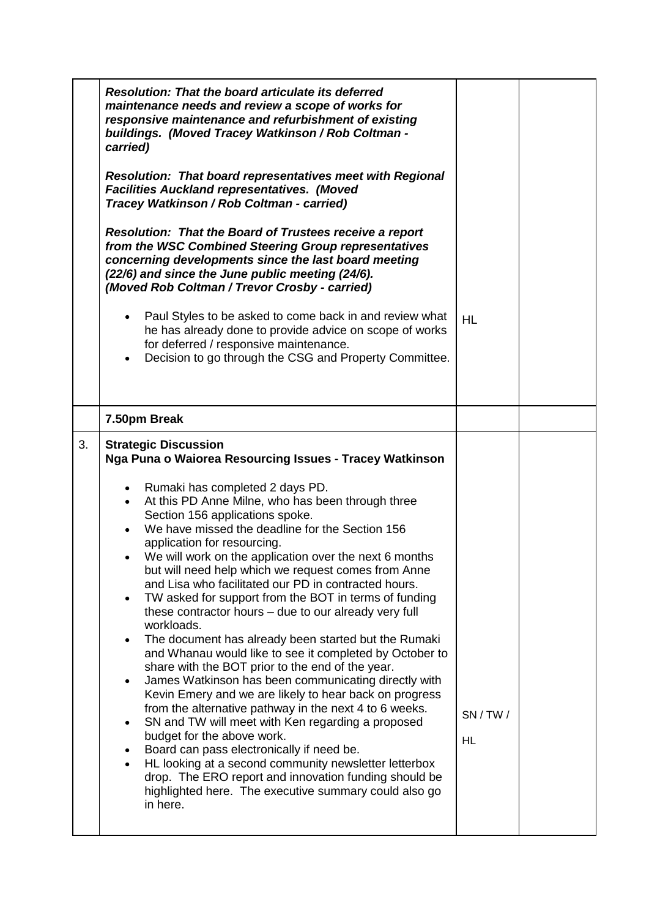|    | <b>Resolution: That the board articulate its deferred</b><br>maintenance needs and review a scope of works for<br>responsive maintenance and refurbishment of existing<br>buildings. (Moved Tracey Watkinson / Rob Coltman -<br>carried)<br><b>Resolution: That board representatives meet with Regional</b><br><b>Facilities Auckland representatives. (Moved</b><br>Tracey Watkinson / Rob Coltman - carried)                                                                                                                                                                                                                                                                                                                                                                                                                                                                                                                                                                                |           |  |
|----|------------------------------------------------------------------------------------------------------------------------------------------------------------------------------------------------------------------------------------------------------------------------------------------------------------------------------------------------------------------------------------------------------------------------------------------------------------------------------------------------------------------------------------------------------------------------------------------------------------------------------------------------------------------------------------------------------------------------------------------------------------------------------------------------------------------------------------------------------------------------------------------------------------------------------------------------------------------------------------------------|-----------|--|
|    | <b>Resolution: That the Board of Trustees receive a report</b><br>from the WSC Combined Steering Group representatives<br>concerning developments since the last board meeting<br>(22/6) and since the June public meeting (24/6).<br>(Moved Rob Coltman / Trevor Crosby - carried)<br>Paul Styles to be asked to come back in and review what<br>$\bullet$<br>he has already done to provide advice on scope of works<br>for deferred / responsive maintenance.<br>Decision to go through the CSG and Property Committee.                                                                                                                                                                                                                                                                                                                                                                                                                                                                     | <b>HL</b> |  |
|    | 7.50pm Break                                                                                                                                                                                                                                                                                                                                                                                                                                                                                                                                                                                                                                                                                                                                                                                                                                                                                                                                                                                   |           |  |
| 3. | <b>Strategic Discussion</b><br>Nga Puna o Waiorea Resourcing Issues - Tracey Watkinson<br>Rumaki has completed 2 days PD.<br>$\bullet$<br>At this PD Anne Milne, who has been through three<br>Section 156 applications spoke.<br>We have missed the deadline for the Section 156<br>application for resourcing.<br>We will work on the application over the next 6 months<br>but will need help which we request comes from Anne<br>and Lisa who facilitated our PD in contracted hours.<br>TW asked for support from the BOT in terms of funding<br>$\bullet$<br>these contractor hours - due to our already very full<br>workloads.<br>The document has already been started but the Rumaki<br>and Whanau would like to see it completed by October to<br>share with the BOT prior to the end of the year.<br>James Watkinson has been communicating directly with<br>٠<br>Kevin Emery and we are likely to hear back on progress<br>from the alternative pathway in the next 4 to 6 weeks. | SN / TW / |  |
|    | SN and TW will meet with Ken regarding a proposed<br>budget for the above work.<br>Board can pass electronically if need be.<br>HL looking at a second community newsletter letterbox<br>drop. The ERO report and innovation funding should be<br>highlighted here. The executive summary could also go<br>in here.                                                                                                                                                                                                                                                                                                                                                                                                                                                                                                                                                                                                                                                                            | HL        |  |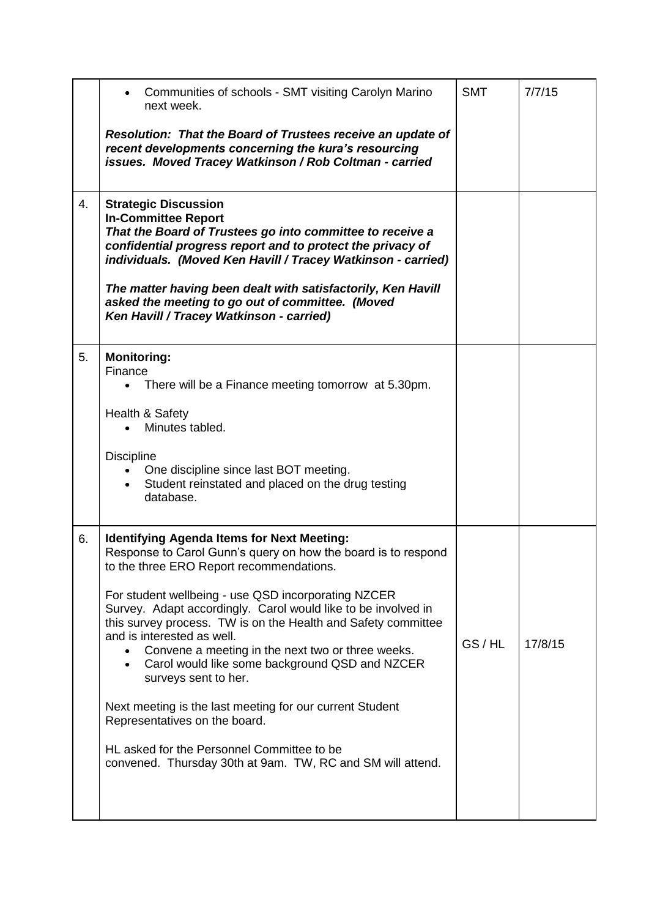|    | Communities of schools - SMT visiting Carolyn Marino<br>next week.                                                                                                                                                                                                                                                                                                                                                                                                                                                                                                                                                                                                                                                                         | <b>SMT</b> | 7/7/15  |
|----|--------------------------------------------------------------------------------------------------------------------------------------------------------------------------------------------------------------------------------------------------------------------------------------------------------------------------------------------------------------------------------------------------------------------------------------------------------------------------------------------------------------------------------------------------------------------------------------------------------------------------------------------------------------------------------------------------------------------------------------------|------------|---------|
|    | Resolution: That the Board of Trustees receive an update of<br>recent developments concerning the kura's resourcing<br>issues. Moved Tracey Watkinson / Rob Coltman - carried                                                                                                                                                                                                                                                                                                                                                                                                                                                                                                                                                              |            |         |
| 4. | <b>Strategic Discussion</b><br><b>In-Committee Report</b><br>That the Board of Trustees go into committee to receive a<br>confidential progress report and to protect the privacy of<br>individuals. (Moved Ken Havill / Tracey Watkinson - carried)<br>The matter having been dealt with satisfactorily, Ken Havill<br>asked the meeting to go out of committee. (Moved<br>Ken Havill / Tracey Watkinson - carried)                                                                                                                                                                                                                                                                                                                       |            |         |
| 5. | <b>Monitoring:</b><br>Finance<br>There will be a Finance meeting tomorrow at 5.30pm.<br>Health & Safety<br>Minutes tabled.<br><b>Discipline</b><br>One discipline since last BOT meeting.<br>Student reinstated and placed on the drug testing<br>database.                                                                                                                                                                                                                                                                                                                                                                                                                                                                                |            |         |
| 6. | <b>Identifying Agenda Items for Next Meeting:</b><br>Response to Carol Gunn's query on how the board is to respond<br>to the three ERO Report recommendations.<br>For student wellbeing - use QSD incorporating NZCER<br>Survey. Adapt accordingly. Carol would like to be involved in<br>this survey process. TW is on the Health and Safety committee<br>and is interested as well.<br>Convene a meeting in the next two or three weeks.<br>Carol would like some background QSD and NZCER<br>$\bullet$<br>surveys sent to her.<br>Next meeting is the last meeting for our current Student<br>Representatives on the board.<br>HL asked for the Personnel Committee to be<br>convened. Thursday 30th at 9am. TW, RC and SM will attend. | GS/HL      | 17/8/15 |